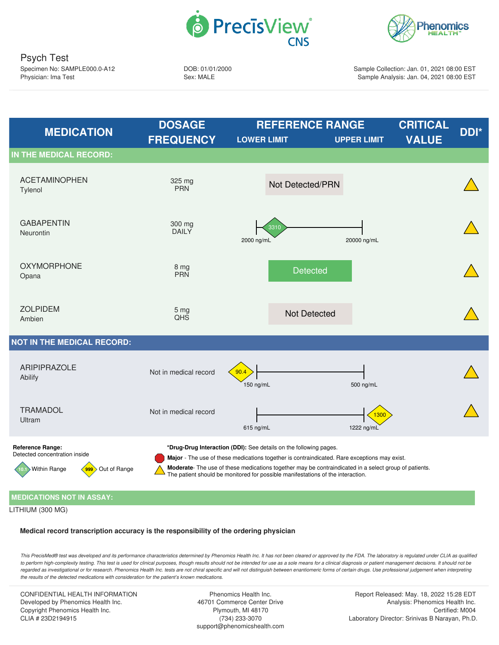



Psych Test Specimen No: SAMPLE000.0-A12 Physician: Ima Test

DOB: 01/01/2000 Sex: MALE

Sample Collection: Jan. 01, 2021 08:00 EST Sample Analysis: Jan. 04, 2021 08:00 EST

<span id="page-0-1"></span><span id="page-0-0"></span>

## <span id="page-0-2"></span>**MEDICATIONS NOT IN ASSAY:**

LITHIUM (300 MG)

**Medical record transcription accuracy is the responsibility of the ordering physician**

This PrecisMed® test was developed and its performance characteristics determined by Phenomics Health Inc. It has not been cleared or approved by the FDA. The laboratory is regulated under CLIA as qualified to perform high-complexity testing. This test is used for clinical purposes, though results should not be intended for use as a sole means for a clinical diagnosis or patient management decisions. It should not be regarded as investigational or for research. Phenomics Health Inc. tests are not chiral specific and will not distinguish between enantiomeric forms of certain drugs. Use professional judgement when interpreting *the results of the detected medications with consideration for the patient's known medications.*

CONFIDENTIAL HEALTH INFORMATION Developed by Phenomics Health Inc. Copyright Phenomics Health Inc. CLIA # 23D2194915

Phenomics Health Inc. 46701 Commerce Center Drive Plymouth, MI 48170 (734) 233-3070 support@phenomicshealth.com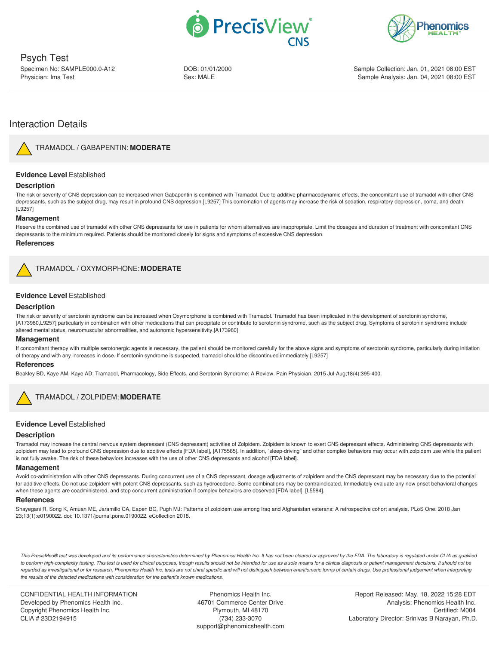



Psych Test Specimen No: SAMPLE000.0-A12 Physician: Ima Test

DOB: 01/01/2000 Sex: MALE

Sample Collection: Jan. 01, 2021 08:00 EST Sample Analysis: Jan. 04, 2021 08:00 EST

# Interaction Details

<span id="page-1-0"></span>

TRAMADOL / [GABAPENTIN:](#page-0-0) **MODERATE**

## **Evidence Level** Established

## **Description**

The risk or severity of CNS depression can be increased when Gabapentin is combined with Tramadol. Due to additive pharmacodynamic effects, the concomitant use of tramadol with other CNS depressants, such as the subject drug, may result in profound CNS depression.[L9257] This combination of agents may increase the risk of sedation, respiratory depression, coma, and death. [L9257]

## **Management**

Reserve the combined use of tramadol with other CNS depressants for use in patients for whom alternatives are inappropriate. Limit the dosages and duration of treatment with concomitant CNS depressants to the minimum required. Patients should be monitored closely for signs and symptoms of excessive CNS depression.

#### **References**

<span id="page-1-1"></span>

TRAMADOL / [OXYMORPHONE:](#page-0-1) **MODERATE**

## **Evidence Level** Established

## **Description**

The risk or severity of serotonin syndrome can be increased when Oxymorphone is combined with Tramadol. Tramadol has been implicated in the development of serotonin syndrome, [A173980,L9257] particularly in combination with other medications that can precipitate or contribute to serotonin syndrome, such as the subject drug. Symptoms of serotonin syndrome include altered mental status, neuromuscular abnormalities, and autonomic hypersensitivity.[A173980]

#### **Management**

If concomitant therapy with multiple serotonergic agents is necessary, the patient should be monitored carefully for the above signs and symptoms of serotonin syndrome, particularly during initiation of therapy and with any increases in dose. If serotonin syndrome is suspected, tramadol should be discontinued immediately.[L9257]

#### **References**

Beakley BD, Kaye AM, Kaye AD: Tramadol, Pharmacology, Side Effects, and Serotonin Syndrome: A Review. Pain Physician. 2015 Jul-Aug;18(4):395-400.



## TRAMADOL / ZOLPIDEM: **[MODERATE](#page-0-2)**

## <span id="page-1-2"></span>**Evidence Level** Established

#### **Description**

Tramadol may increase the central nervous system depressant (CNS depressant) activities of Zolpidem. Zolpidem is known to exert CNS depressant effects. Administering CNS depressants with zolpidem may lead to profound CNS depression due to additive effects [FDA label], [A175585]. In addition, "sleep-driving" and other complex behaviors may occur with zolpidem use while the patient is not fully awake. The risk of these behaviors increases with the use of other CNS depressants and alcohol [FDA label].

#### **Management**

Avoid co-administration with other CNS depressants. During concurrent use of a CNS depressant, dosage adjustments of zolpidem and the CNS depressant may be necessary due to the potential for additive effects. Do not use zolpidem with potent CNS depressants, such as hydrocodone. Some combinations may be contraindicated. Immediately evaluate any new onset behavioral changes when these agents are coadministered, and stop concurrent administration if complex behaviors are observed [FDA label], [L5584].

### **References**

Shayegani R, Song K, Amuan ME, Jaramillo CA, Eapen BC, Pugh MJ: Patterns of zolpidem use among Iraq and Afghanistan veterans: A retrospective cohort analysis. PLoS One. 2018 Jan 23;13(1):e0190022. doi: 10.1371/journal.pone.0190022. eCollection 2018.

This PrecisMed® test was developed and its performance characteristics determined by Phenomics Health Inc. It has not been cleared or approved by the FDA. The laboratory is regulated under CLIA as qualified to perform high-complexity testing. This test is used for clinical purposes, though results should not be intended for use as a sole means for a clinical diagnosis or patient management decisions. It should not be regarded as investigational or for research. Phenomics Health Inc. tests are not chiral specific and will not distinguish between enantiomeric forms of certain drugs. Use professional judgement when interpreting *the results of the detected medications with consideration for the patient's known medications.*

CONFIDENTIAL HEALTH INFORMATION Developed by Phenomics Health Inc. Copyright Phenomics Health Inc. CLIA # 23D2194915

Phenomics Health Inc. 46701 Commerce Center Drive Plymouth, MI 48170 (734) 233-3070 support@phenomicshealth.com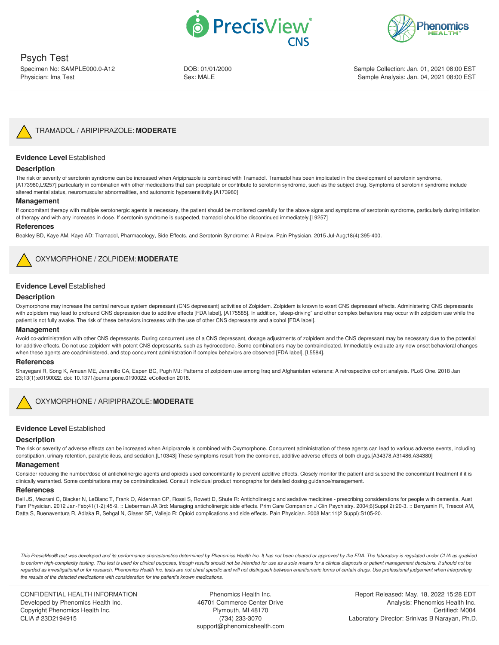



Psych Test Specimen No: SAMPLE000.0-A12 Physician: Ima Test

DOB: 01/01/2000 Sex: MALE

Sample Collection: Jan. 01, 2021 08:00 EST Sample Analysis: Jan. 04, 2021 08:00 EST



TRAMADOL / [ARIPIPRAZOLE:](#page-1-0) **MODERATE**

## <span id="page-2-0"></span>**Evidence Level** Established

## **Description**

The risk or severity of serotonin syndrome can be increased when Aripiprazole is combined with Tramadol. Tramadol has been implicated in the development of serotonin syndrome, [A173980,L9257] particularly in combination with other medications that can precipitate or contribute to serotonin syndrome, such as the subject drug. Symptoms of serotonin syndrome include altered mental status, neuromuscular abnormalities, and autonomic hypersensitivity.[A173980]

#### **Management**

If concomitant therapy with multiple serotonergic agents is necessary, the patient should be monitored carefully for the above signs and symptoms of serotonin syndrome, particularly during initiation of therapy and with any increases in dose. If serotonin syndrome is suspected, tramadol should be discontinued immediately.[L9257]

#### **References**

Beakley BD, Kaye AM, Kaye AD: Tramadol, Pharmacology, Side Effects, and Serotonin Syndrome: A Review. Pain Physician. 2015 Jul-Aug;18(4):395-400.



[OXYMORPHONE](#page-1-1) / ZOLPIDEM: **MODERATE**

## <span id="page-2-1"></span>**Evidence Level** Established

#### **Description**

Oxymorphone may increase the central nervous system depressant (CNS depressant) activities of Zolpidem. Zolpidem is known to exert CNS depressant effects. Administering CNS depressants with zolpidem may lead to profound CNS depression due to additive effects [FDA label], [A175585]. In addition, "sleep-driving" and other complex behaviors may occur with zolpidem use while the patient is not fully awake. The risk of these behaviors increases with the use of other CNS depressants and alcohol [FDA label].

## **Management**

Avoid co-administration with other CNS depressants. During concurrent use of a CNS depressant, dosage adjustments of zolpidem and the CNS depressant may be necessary due to the potential for additive effects. Do not use zolpidem with potent CNS depressants, such as hydrocodone. Some combinations may be contraindicated. Immediately evaluate any new onset behavioral changes when these agents are coadministered, and stop concurrent administration if complex behaviors are observed [FDA label], [L5584].

#### **References**

Shayegani R, Song K, Amuan ME, Jaramillo CA, Eapen BC, Pugh MJ: Patterns of zolpidem use among Iraq and Afghanistan veterans: A retrospective cohort analysis. PLoS One. 2018 Jan 23;13(1):e0190022. doi: 10.1371/journal.pone.0190022. eCollection 2018.



## [OXYMORPHONE](#page-1-2) / ARIPIPRAZOLE: **MODERATE**

## **Evidence Level** Established

#### **Description**

The risk or severity of adverse effects can be increased when Aripiprazole is combined with Oxymorphone. Concurrent administration of these agents can lead to various adverse events, including constipation, urinary retention, paralytic ileus, and sedation.[L10343] These symptoms result from the combined, additive adverse effects of both drugs.[A34378,A31486,A34380]

#### **Management**

Consider reducing the number/dose of anticholinergic agents and opioids used concomitantly to prevent additive effects. Closely monitor the patient and suspend the concomitant treatment if it is clinically warranted. Some combinations may be contraindicated. Consult individual product monographs for detailed dosing guidance/management.

#### **References**

Bell JS, Mezrani C, Blacker N, LeBlanc T, Frank O, Alderman CP, Rossi S, Rowett D, Shute R: Anticholinergic and sedative medicines - prescribing considerations for people with dementia. Aust Fam Physician. 2012 Jan-Feb;41(1-2):45-9. :: Lieberman JA 3rd: Managing anticholinergic side effects. Prim Care Companion J Clin Psychiatry. 2004;6(Suppl 2):20-3. :: Benyamin R, Trescot AM, Datta S, Buenaventura R, Adlaka R, Sehgal N, Glaser SE, Vallejo R: Opioid complications and side effects. Pain Physician. 2008 Mar;11(2 Suppl):S105-20.

This PrecisMed® test was developed and its performance characteristics determined by Phenomics Health Inc. It has not been cleared or approved by the FDA. The laboratory is regulated under CLIA as qualified to perform high-complexity testing. This test is used for clinical purposes, though results should not be intended for use as a sole means for a clinical diagnosis or patient management decisions. It should not be regarded as investigational or for research. Phenomics Health Inc. tests are not chiral specific and will not distinguish between enantiomeric forms of certain drugs. Use professional judgement when interpreting *the results of the detected medications with consideration for the patient's known medications.*

CONFIDENTIAL HEALTH INFORMATION Developed by Phenomics Health Inc. Copyright Phenomics Health Inc. CLIA # 23D2194915

Phenomics Health Inc. 46701 Commerce Center Drive Plymouth, MI 48170 (734) 233-3070 support@phenomicshealth.com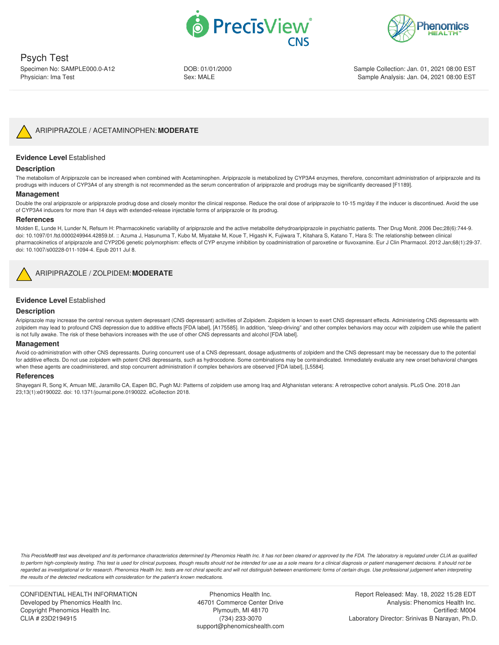



Psych Test Specimen No: SAMPLE000.0-A12

Physician: Ima Test

DOB: 01/01/2000 Sex: MALE

Sample Collection: Jan. 01, 2021 08:00 EST Sample Analysis: Jan. 04, 2021 08:00 EST



## <span id="page-3-0"></span>**Evidence Level** Established

## **Description**

The metabolism of Aripiprazole can be increased when combined with Acetaminophen. Aripiprazole is metabolized by CYP3A4 enzymes, therefore, concomitant administration of aripiprazole and its prodrugs with inducers of CYP3A4 of any strength is not recommended as the serum concentration of aripiprazole and prodrugs may be significantly decreased [F1189].

## **Management**

Double the oral aripiprazole or aripiprazole prodrug dose and closely monitor the clinical response. Reduce the oral dose of aripiprazole to 10-15 mg/day if the inducer is discontinued. Avoid the use of CYP3A4 inducers for more than 14 days with extended-release injectable forms of aripiprazole or its prodrug.

## **References**

Molden E, Lunde H, Lunder N, Refsum H: Pharmacokinetic variability of aripiprazole and the active metabolite dehydroaripiprazole in psychiatric patients. Ther Drug Monit. 2006 Dec;28(6):744-9. doi: 10.1097/01.ftd.0000249944.42859.bf. :: Azuma J, Hasunuma T, Kubo M, Miyatake M, Koue T, Higashi K, Fujiwara T, Kitahara S, Katano T, Hara S: The relationship between clinical pharmacokinetics of aripiprazole and CYP2D6 genetic polymorphism: effects of CYP enzyme inhibition by coadministration of paroxetine or fluvoxamine. Eur J Clin Pharmacol. 2012 Jan;68(1):29-37. doi: 10.1007/s00228-011-1094-4. Epub 2011 Jul 8.

<span id="page-3-1"></span>

## **Evidence Level** Established

## **Description**

Aripiprazole may increase the central nervous system depressant (CNS depressant) activities of Zolpidem. Zolpidem is known to exert CNS depressant effects. Administering CNS depressants with zolpidem may lead to profound CNS depression due to additive effects [FDA label], [A175585]. In addition, "sleep-driving" and other complex behaviors may occur with zolpidem use while the patient is not fully awake. The risk of these behaviors increases with the use of other CNS depressants and alcohol [FDA label].

#### **Management**

Avoid co-administration with other CNS depressants. During concurrent use of a CNS depressant, dosage adjustments of zolpidem and the CNS depressant may be necessary due to the potential for additive effects. Do not use zolpidem with potent CNS depressants, such as hydrocodone. Some combinations may be contraindicated. Immediately evaluate any new onset behavioral changes when these agents are coadministered, and stop concurrent administration if complex behaviors are observed [FDA label], [L5584].

#### **References**

Shayegani R, Song K, Amuan ME, Jaramillo CA, Eapen BC, Pugh MJ: Patterns of zolpidem use among Iraq and Afghanistan veterans: A retrospective cohort analysis. PLoS One. 2018 Jan 23;13(1):e0190022. doi: 10.1371/journal.pone.0190022. eCollection 2018.

This PrecisMed® test was developed and its performance characteristics determined by Phenomics Health Inc. It has not been cleared or approved by the FDA. The laboratory is regulated under CLIA as qualified to perform high-complexity testing. This test is used for clinical purposes, though results should not be intended for use as a sole means for a clinical diagnosis or patient management decisions. It should not be regarded as investigational or for research. Phenomics Health Inc. tests are not chiral specific and will not distinguish between enantiomeric forms of certain drugs. Use professional judgement when interpreting *the results of the detected medications with consideration for the patient's known medications.*

CONFIDENTIAL HEALTH INFORMATION Developed by Phenomics Health Inc. Copyright Phenomics Health Inc. CLIA # 23D2194915

Phenomics Health Inc. 46701 Commerce Center Drive Plymouth, MI 48170 (734) 233-3070 support@phenomicshealth.com